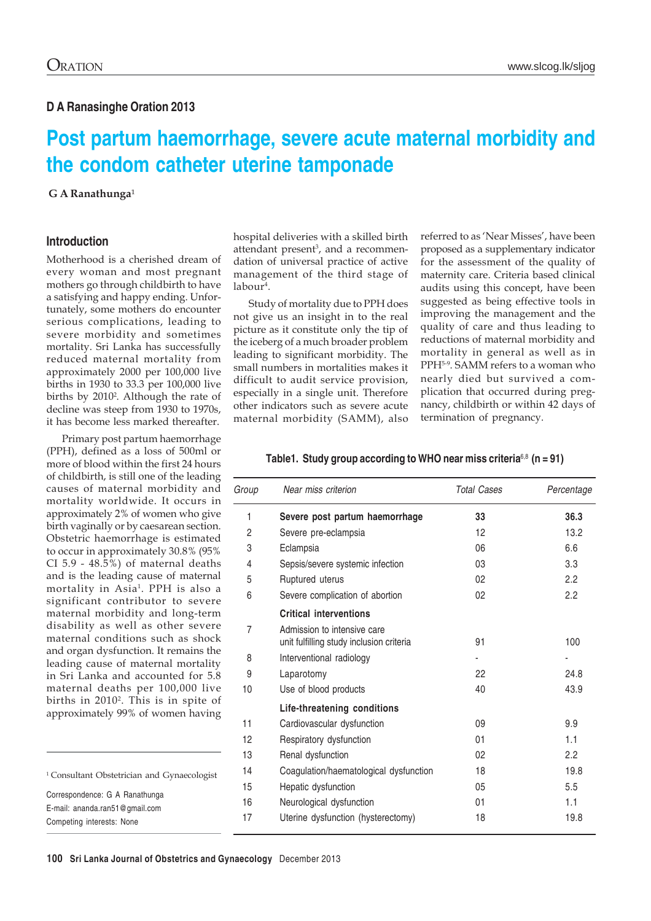### **D A Ranasinghe Oration 2013**

# **Post partum haemorrhage, severe acute maternal morbidity and the condom catheter uterine tamponade**

**G A Ranathunga<sup>1</sup>** 

### **Introduction**

Motherhood is a cherished dream of every woman and most pregnant mothers go through childbirth to have a satisfying and happy ending. Unfortunately, some mothers do encounter serious complications, leading to severe morbidity and sometimes mortality. Sri Lanka has successfully reduced maternal mortality from approximately 2000 per 100,000 live births in 1930 to 33.3 per 100,000 live births by 20102 . Although the rate of decline was steep from 1930 to 1970s, it has become less marked thereafter.

Primary post partum haemorrhage (PPH), defined as a loss of 500ml or more of blood within the first 24 hours of childbirth, is still one of the leading causes of maternal morbidity and mortality worldwide. It occurs in approximately 2% of women who give birth vaginally or by caesarean section. Obstetric haemorrhage is estimated to occur in approximately 30.8% (95% CI 5.9 - 48.5%) of maternal deaths and is the leading cause of maternal mortality in Asia1 . PPH is also a significant contributor to severe maternal morbidity and long-term disability as well as other severe maternal conditions such as shock and organ dysfunction. It remains the leading cause of maternal mortality in Sri Lanka and accounted for 5.8 maternal deaths per 100,000 live births in 20102. This is in spite of approximately 99% of women having

<sup>1</sup> Consultant Obstetrician and Gynaecologist Correspondence: G A Ranathunga E-mail: ananda.ran51@gmail.com Competing interests: None

hospital deliveries with a skilled birth attendant present<sup>3</sup>, and a recommendation of universal practice of active management of the third stage of labour<sup>4</sup>.

Study of mortality due to PPH does not give us an insight in to the real picture as it constitute only the tip of the iceberg of a much broader problem leading to significant morbidity. The small numbers in mortalities makes it difficult to audit service provision, especially in a single unit. Therefore other indicators such as severe acute maternal morbidity (SAMM), also

referred to as 'Near Misses', have been proposed as a supplementary indicator for the assessment of the quality of maternity care. Criteria based clinical audits using this concept, have been suggested as being effective tools in improving the management and the quality of care and thus leading to reductions of maternal morbidity and mortality in general as well as in PPH5-9. SAMM refers to a woman who nearly died but survived a complication that occurred during pregnancy, childbirth or within 42 days of termination of pregnancy.

#### **Table1. Study group according to WHO near miss criteria**6,8 **(n = 91)**

| Group          | Near miss criterion                      | <b>Total Cases</b> | Percentage |
|----------------|------------------------------------------|--------------------|------------|
| 1              | Severe post partum haemorrhage           | 33                 | 36.3       |
| $\overline{c}$ | Severe pre-eclampsia                     | 12                 | 13.2       |
| 3              | Eclampsia                                | 06                 | 6.6        |
| 4              | Sepsis/severe systemic infection         | 03                 | 3.3        |
| 5              | Ruptured uterus                          | 02                 | 2.2        |
| 6              | Severe complication of abortion          | 02                 | 2.2        |
|                | <b>Critical interventions</b>            |                    |            |
| $\overline{7}$ | Admission to intensive care              |                    |            |
|                | unit fulfilling study inclusion criteria | 91                 | 100        |
| 8              | Interventional radiology                 |                    |            |
| 9              | Laparotomy                               | 22                 | 24.8       |
| 10             | Use of blood products                    | 40                 | 43.9       |
|                | Life-threatening conditions              |                    |            |
| 11             | Cardiovascular dysfunction               | 09                 | 9.9        |
| 12             | Respiratory dysfunction                  | 01                 | 1.1        |
| 13             | Renal dysfunction                        | 02                 | 2.2        |
| 14             | Coagulation/haematological dysfunction   | 18                 | 19.8       |
| 15             | Hepatic dysfunction                      | 05                 | 5.5        |
| 16             | Neurological dysfunction                 | 01                 | 1.1        |
| 17             | Uterine dysfunction (hysterectomy)       | 18                 | 19.8       |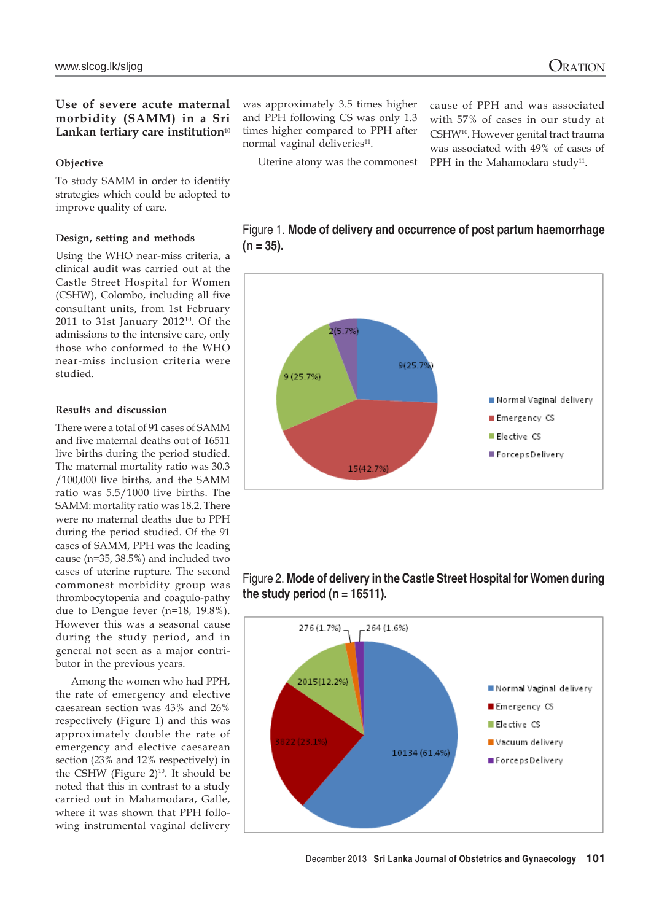### **Use of severe acute maternal morbidity (SAMM) in a Sri** Lankan tertiary care institution<sup>10</sup>

### **Objective**

To study SAMM in order to identify strategies which could be adopted to improve quality of care.

### **Design, setting and methods**

Using the WHO near-miss criteria, a clinical audit was carried out at the Castle Street Hospital for Women (CSHW), Colombo, including all five consultant units, from 1st February 2011 to 31st January 2012 $^{10}$ . Of the admissions to the intensive care, only those who conformed to the WHO near-miss inclusion criteria were studied.

### **Results and discussion**

There were a total of 91 cases of SAMM and five maternal deaths out of 16511 live births during the period studied. The maternal mortality ratio was 30.3 /100,000 live births, and the SAMM ratio was 5.5/1000 live births. The SAMM: mortality ratio was 18.2. There were no maternal deaths due to PPH during the period studied. Of the 91 cases of SAMM, PPH was the leading cause (n=35, 38.5%) and included two cases of uterine rupture. The second commonest morbidity group was thrombocytopenia and coagulo-pathy due to Dengue fever (n=18, 19.8%). However this was a seasonal cause during the study period, and in general not seen as a major contributor in the previous years.

Among the women who had PPH, the rate of emergency and elective caesarean section was 43% and 26% respectively (Figure 1) and this was approximately double the rate of emergency and elective caesarean section (23% and 12% respectively) in the CSHW (Figure  $2)^{10}$ . It should be noted that this in contrast to a study carried out in Mahamodara, Galle, where it was shown that PPH following instrumental vaginal delivery

was approximately 3.5 times higher and PPH following CS was only 1.3 times higher compared to PPH after normal vaginal deliveries<sup>11</sup>.

Uterine atony was the commonest

cause of PPH and was associated with 57% of cases in our study at CSHW10. However genital tract trauma was associated with 49% of cases of PPH in the Mahamodara study<sup>11</sup>.





### Figure 2. **Mode of delivery in the Castle Street Hospital for Women during the study period (n = 16511).**

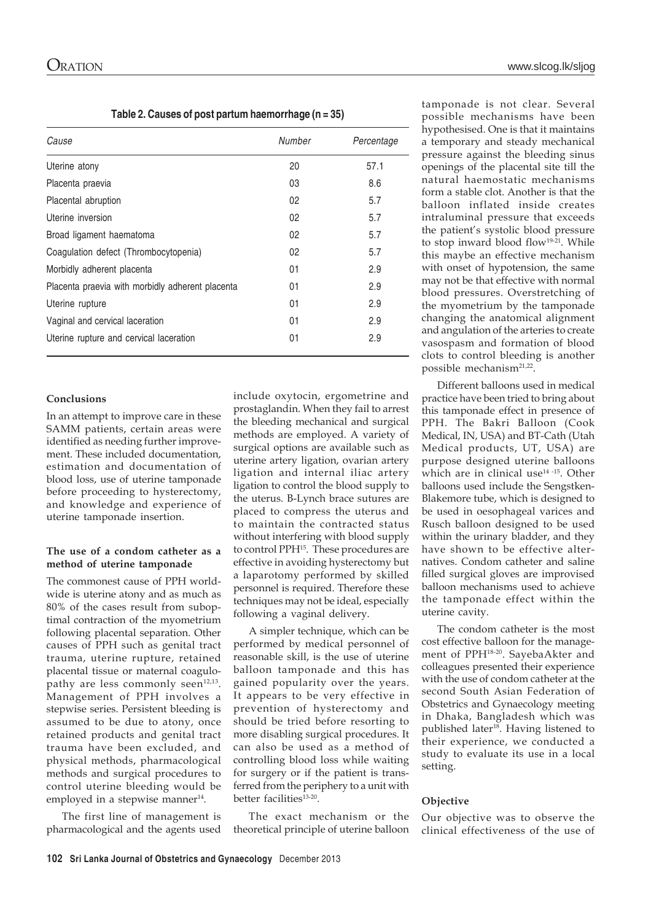**Table 2. Causes of post partum haemorrhage (n = 35)**

| Cause                                            | Number | Percentage |
|--------------------------------------------------|--------|------------|
| Uterine atony                                    | 20     | 57.1       |
| Placenta praevia                                 | 03     | 8.6        |
| Placental abruption                              | 02     | 5.7        |
| Uterine inversion                                | 02     | 5.7        |
| Broad ligament haematoma                         | 02     | 5.7        |
| Coagulation defect (Thrombocytopenia)            | 02     | 5.7        |
| Morbidly adherent placenta                       | 01     | 2.9        |
| Placenta praevia with morbidly adherent placenta | 01     | 2.9        |
| Uterine rupture                                  | 01     | 2.9        |
| Vaginal and cervical laceration                  | 01     | 2.9        |
| Uterine rupture and cervical laceration          | 01     | 2.9        |

#### **Conclusions**

In an attempt to improve care in these SAMM patients, certain areas were identified as needing further improvement. These included documentation, estimation and documentation of blood loss, use of uterine tamponade before proceeding to hysterectomy, and knowledge and experience of uterine tamponade insertion.

#### **The use of a condom catheter as a method of uterine tamponade**

The commonest cause of PPH worldwide is uterine atony and as much as 80% of the cases result from suboptimal contraction of the myometrium following placental separation. Other causes of PPH such as genital tract trauma, uterine rupture, retained placental tissue or maternal coagulopathy are less commonly seen $12,13$ . Management of PPH involves a stepwise series. Persistent bleeding is assumed to be due to atony, once retained products and genital tract trauma have been excluded, and physical methods, pharmacological methods and surgical procedures to control uterine bleeding would be employed in a stepwise manner<sup>14</sup>.

The first line of management is pharmacological and the agents used

include oxytocin, ergometrine and prostaglandin. When they fail to arrest the bleeding mechanical and surgical methods are employed. A variety of surgical options are available such as uterine artery ligation, ovarian artery ligation and internal iliac artery ligation to control the blood supply to the uterus. B-Lynch brace sutures are placed to compress the uterus and to maintain the contracted status without interfering with blood supply to control PPH15. These procedures are effective in avoiding hysterectomy but a laparotomy performed by skilled personnel is required. Therefore these techniques may not be ideal, especially following a vaginal delivery.

A simpler technique, which can be performed by medical personnel of reasonable skill, is the use of uterine balloon tamponade and this has gained popularity over the years. It appears to be very effective in prevention of hysterectomy and should be tried before resorting to more disabling surgical procedures. It can also be used as a method of controlling blood loss while waiting for surgery or if the patient is transferred from the periphery to a unit with better facilities<sup>13-20</sup>.

The exact mechanism or the theoretical principle of uterine balloon

tamponade is not clear. Several possible mechanisms have been hypothesised. One is that it maintains a temporary and steady mechanical pressure against the bleeding sinus openings of the placental site till the natural haemostatic mechanisms form a stable clot. Another is that the balloon inflated inside creates intraluminal pressure that exceeds the patient's systolic blood pressure to stop inward blood flow<sup>19-21</sup>. While this maybe an effective mechanism with onset of hypotension, the same may not be that effective with normal blood pressures. Overstretching of the myometrium by the tamponade changing the anatomical alignment and angulation of the arteries to create vasospasm and formation of blood clots to control bleeding is another possible mechanism<sup>21,22</sup>.

Different balloons used in medical practice have been tried to bring about this tamponade effect in presence of PPH. The Bakri Balloon (Cook Medical, IN, USA) and BT-Cath (Utah Medical products, UT, USA) are purpose designed uterine balloons which are in clinical use<sup>14 -15</sup>. Other balloons used include the Sengstken-Blakemore tube, which is designed to be used in oesophageal varices and Rusch balloon designed to be used within the urinary bladder, and they have shown to be effective alternatives. Condom catheter and saline filled surgical gloves are improvised balloon mechanisms used to achieve the tamponade effect within the uterine cavity.

The condom catheter is the most cost effective balloon for the management of PPH18-20. SayebaAkter and colleagues presented their experience with the use of condom catheter at the second South Asian Federation of Obstetrics and Gynaecology meeting in Dhaka, Bangladesh which was published later<sup>18</sup>. Having listened to their experience, we conducted a study to evaluate its use in a local setting.

#### **Objective**

Our objective was to observe the clinical effectiveness of the use of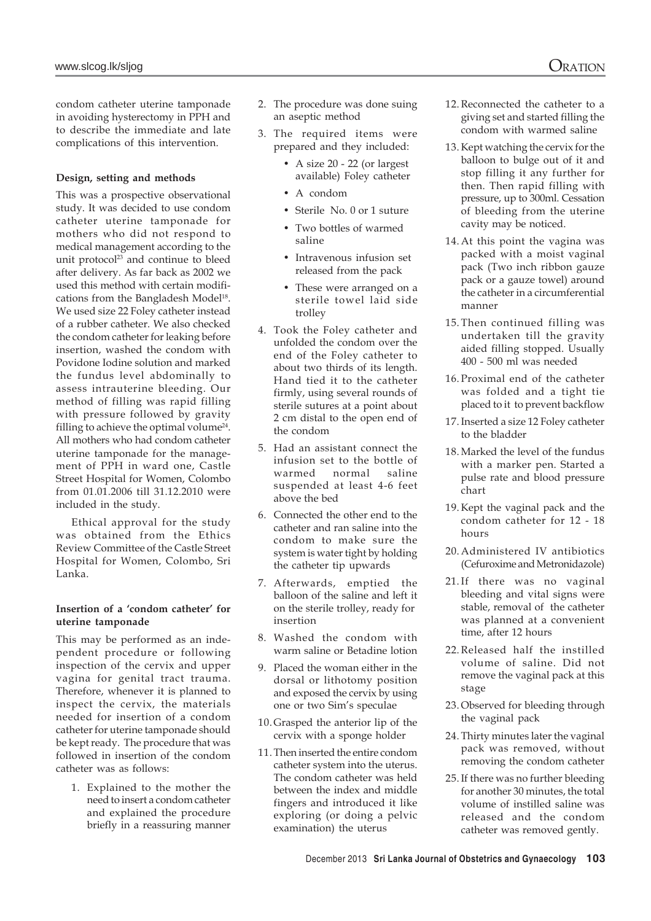condom catheter uterine tamponade in avoiding hysterectomy in PPH and to describe the immediate and late complications of this intervention.

### **Design, setting and methods**

This was a prospective observational study. It was decided to use condom catheter uterine tamponade for mothers who did not respond to medical management according to the unit protocol<sup>23</sup> and continue to bleed after delivery. As far back as 2002 we used this method with certain modifications from the Bangladesh Model<sup>18</sup>. We used size 22 Foley catheter instead of a rubber catheter. We also checked the condom catheter for leaking before insertion, washed the condom with Povidone Iodine solution and marked the fundus level abdominally to assess intrauterine bleeding. Our method of filling was rapid filling with pressure followed by gravity filling to achieve the optimal volume<sup>24</sup>. All mothers who had condom catheter uterine tamponade for the management of PPH in ward one, Castle Street Hospital for Women, Colombo from 01.01.2006 till 31.12.2010 were included in the study.

Ethical approval for the study was obtained from the Ethics Review Committee of the Castle Street Hospital for Women, Colombo, Sri Lanka.

### **Insertion of a 'condom catheter' for uterine tamponade**

This may be performed as an independent procedure or following inspection of the cervix and upper vagina for genital tract trauma. Therefore, whenever it is planned to inspect the cervix, the materials needed for insertion of a condom catheter for uterine tamponade should be kept ready. The procedure that was followed in insertion of the condom catheter was as follows:

1. Explained to the mother the need to insert a condom catheter and explained the procedure briefly in a reassuring manner

- 2. The procedure was done suing an aseptic method
- 3. The required items were prepared and they included:
	- A size 20 22 (or largest available) Foley catheter
	- A condom
	- Sterile No. 0 or 1 suture
	- Two bottles of warmed saline
	- Intravenous infusion set released from the pack
	- These were arranged on a sterile towel laid side trolley
- 4. Took the Foley catheter and unfolded the condom over the end of the Foley catheter to about two thirds of its length. Hand tied it to the catheter firmly, using several rounds of sterile sutures at a point about 2 cm distal to the open end of the condom
- 5. Had an assistant connect the infusion set to the bottle of warmed normal saline suspended at least 4-6 feet above the bed
- 6. Connected the other end to the catheter and ran saline into the condom to make sure the system is water tight by holding the catheter tip upwards
- 7. Afterwards, emptied the balloon of the saline and left it on the sterile trolley, ready for insertion
- 8. Washed the condom with warm saline or Betadine lotion
- 9. Placed the woman either in the dorsal or lithotomy position and exposed the cervix by using one or two Sim's speculae
- 10. Grasped the anterior lip of the cervix with a sponge holder
- 11. Then inserted the entire condom catheter system into the uterus. The condom catheter was held between the index and middle fingers and introduced it like exploring (or doing a pelvic examination) the uterus
- 12. Reconnected the catheter to a giving set and started filling the condom with warmed saline
- 13. Kept watching the cervix for the balloon to bulge out of it and stop filling it any further for then. Then rapid filling with pressure, up to 300ml. Cessation of bleeding from the uterine cavity may be noticed.
- 14.At this point the vagina was packed with a moist vaginal pack (Two inch ribbon gauze pack or a gauze towel) around the catheter in a circumferential manner
- 15.Then continued filling was undertaken till the gravity aided filling stopped. Usually 400 - 500 ml was needed
- 16.Proximal end of the catheter was folded and a tight tie placed to it to prevent backflow
- 17. Inserted a size 12 Foley catheter to the bladder
- 18. Marked the level of the fundus with a marker pen. Started a pulse rate and blood pressure chart
- 19. Kept the vaginal pack and the condom catheter for 12 - 18 hours
- 20.Administered IV antibiotics (Cefuroxime and Metronidazole)
- 21.If there was no vaginal bleeding and vital signs were stable, removal of the catheter was planned at a convenient time, after 12 hours
- 22.Released half the instilled volume of saline. Did not remove the vaginal pack at this stage
- 23. Observed for bleeding through the vaginal pack
- 24. Thirty minutes later the vaginal pack was removed, without removing the condom catheter
- 25. If there was no further bleeding for another 30 minutes, the total volume of instilled saline was released and the condom catheter was removed gently.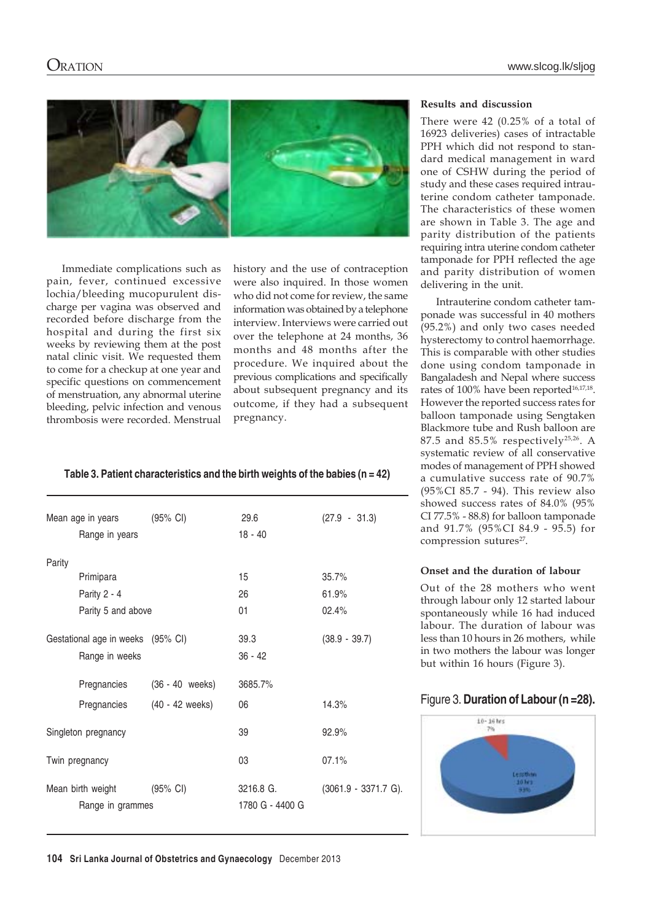

Immediate complications such as pain, fever, continued excessive lochia/bleeding mucopurulent discharge per vagina was observed and recorded before discharge from the hospital and during the first six weeks by reviewing them at the post natal clinic visit. We requested them to come for a checkup at one year and specific questions on commencement of menstruation, any abnormal uterine bleeding, pelvic infection and venous thrombosis were recorded. Menstrual history and the use of contraception were also inquired. In those women who did not come for review, the same information was obtained by a telephone interview. Interviews were carried out over the telephone at 24 months, 36 months and 48 months after the procedure. We inquired about the previous complications and specifically about subsequent pregnancy and its outcome, if they had a subsequent pregnancy.

### **Table 3. Patient characteristics and the birth weights of the babies (n = 42)**

|                                   | Mean age in years (95% CI)                     |                 | 29.6                         | $(27.9 - 31.3)$      |
|-----------------------------------|------------------------------------------------|-----------------|------------------------------|----------------------|
|                                   | Range in years                                 |                 | $18 - 40$                    |                      |
| Parity                            |                                                |                 |                              |                      |
|                                   | Primipara                                      |                 | 15                           | 35.7%                |
|                                   | Parity 2 - 4                                   |                 | 26                           | 61.9%                |
|                                   | Parity 5 and above                             |                 | 01                           | 02.4%                |
| Gestational age in weeks (95% CI) |                                                | 39.3            | $(38.9 - 39.7)$              |                      |
|                                   | Range in weeks                                 |                 | $36 - 42$                    |                      |
|                                   | Pregnancies                                    | (36 - 40 weeks) | 3685.7%                      |                      |
|                                   | Pregnancies (40 - 42 weeks)                    |                 | 06                           | 14.3%                |
| Singleton pregnancy               |                                                | 39              | 92.9%                        |                      |
|                                   | Twin pregnancy                                 |                 | 03                           | 07.1%                |
|                                   | Mean birth weight (95% CI)<br>Range in grammes |                 | 3216.8 G.<br>1780 G - 4400 G | (3061.9 - 3371.7 G). |
|                                   |                                                |                 |                              |                      |

### **Results and discussion**

There were 42 (0.25% of a total of 16923 deliveries) cases of intractable PPH which did not respond to standard medical management in ward one of CSHW during the period of study and these cases required intrauterine condom catheter tamponade. The characteristics of these women are shown in Table 3. The age and parity distribution of the patients requiring intra uterine condom catheter tamponade for PPH reflected the age and parity distribution of women delivering in the unit.

Intrauterine condom catheter tamponade was successful in 40 mothers (95.2%) and only two cases needed hysterectomy to control haemorrhage. This is comparable with other studies done using condom tamponade in Bangaladesh and Nepal where success rates of 100% have been reported<sup>16,17,18</sup>. However the reported success rates for balloon tamponade using Sengtaken Blackmore tube and Rush balloon are 87.5 and 85.5% respectively<sup>25,26</sup>. A systematic review of all conservative modes of management of PPH showed a cumulative success rate of 90.7% (95%CI 85.7 - 94). This review also showed success rates of 84.0% (95% CI 77.5% - 88.8) for balloon tamponade and 91.7% (95%CI 84.9 - 95.5) for compression sutures<sup>27</sup>.

### **Onset and the duration of labour**

Out of the 28 mothers who went through labour only 12 started labour spontaneously while 16 had induced labour. The duration of labour was less than 10 hours in 26 mothers, while in two mothers the labour was longer but within 16 hours (Figure 3).

### Figure 3. **Duration of Labour (n =28).**

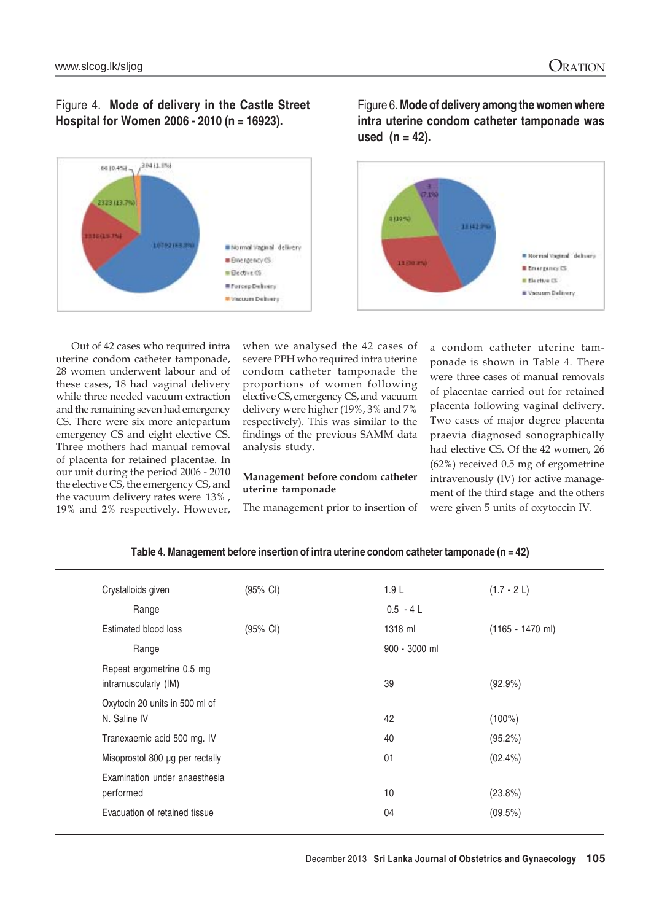### Figure 4. **Mode of delivery in the Castle Street Hospital for Women 2006 - 2010 (n = 16923).**



Figure 6. **Mode of delivery among the women where intra uterine condom catheter tamponade was used (n = 42).**



Out of 42 cases who required intra uterine condom catheter tamponade, 28 women underwent labour and of these cases, 18 had vaginal delivery while three needed vacuum extraction and the remaining seven had emergency CS. There were six more antepartum emergency CS and eight elective CS. Three mothers had manual removal of placenta for retained placentae. In our unit during the period 2006 - 2010 the elective CS, the emergency CS, and the vacuum delivery rates were 13% , 19% and 2% respectively. However,

when we analysed the 42 cases of severe PPH who required intra uterine condom catheter tamponade the proportions of women following elective CS, emergency CS, and vacuum delivery were higher (19%, 3% and 7% respectively). This was similar to the findings of the previous SAMM data analysis study.

### **Management before condom catheter uterine tamponade**

The management prior to insertion of

a condom catheter uterine tamponade is shown in Table 4. There were three cases of manual removals of placentae carried out for retained placenta following vaginal delivery. Two cases of major degree placenta praevia diagnosed sonographically had elective CS. Of the 42 women, 26 (62%) received 0.5 mg of ergometrine intravenously (IV) for active management of the third stage and the others were given 5 units of oxytoccin IV.

| Crystalloids given                                | (95% CI) | 1.9 <sub>L</sub> | $(1.7 - 2 L)$      |
|---------------------------------------------------|----------|------------------|--------------------|
| Range                                             |          | $0.5 - 4 L$      |                    |
| Estimated blood loss                              | (95% CI) | 1318 ml          | $(1165 - 1470$ ml) |
| Range                                             |          | 900 - 3000 ml    |                    |
| Repeat ergometrine 0.5 mg<br>intramuscularly (IM) |          | 39               | $(92.9\%)$         |
| Oxytocin 20 units in 500 ml of<br>N. Saline IV    |          | 42               | $(100\%)$          |
| Tranexaemic acid 500 mg. IV                       |          | 40               | $(95.2\%)$         |
| Misoprostol 800 µg per rectally                   |          | 01               | $(02.4\%)$         |
| Examination under anaesthesia                     |          |                  |                    |
| performed                                         |          | 10               | (23.8%)            |
| Evacuation of retained tissue                     |          | 04               | (09.5%)            |

### **Table 4. Management before insertion of intra uterine condom catheter tamponade (n = 42)**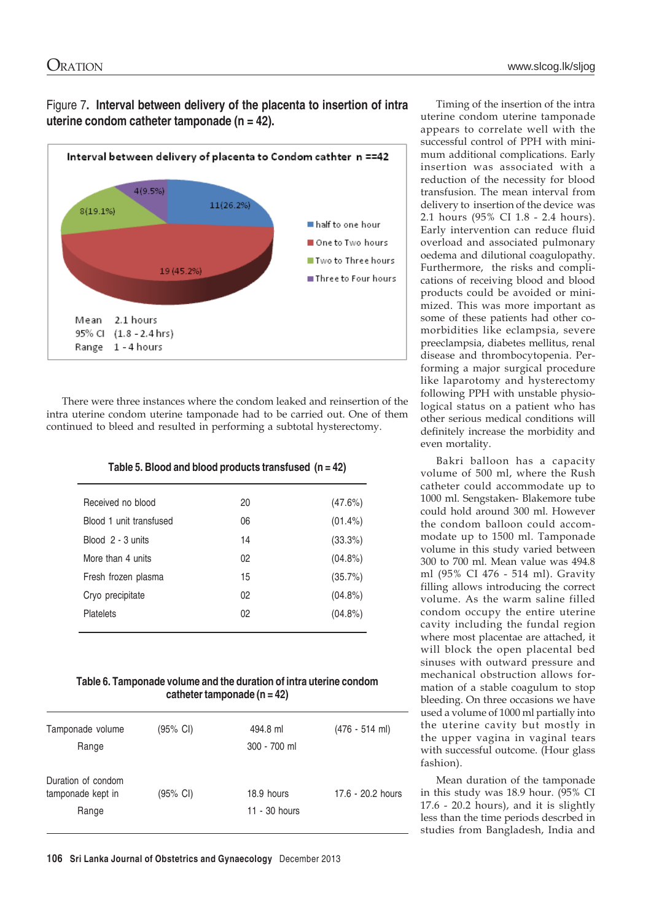Figure 7**. Interval between delivery of the placenta to insertion of intra uterine condom catheter tamponade (n = 42).**



There were three instances where the condom leaked and reinsertion of the intra uterine condom uterine tamponade had to be carried out. One of them continued to bleed and resulted in performing a subtotal hysterectomy.

| Received no blood       | 20 | (47.6%)    |
|-------------------------|----|------------|
| Blood 1 unit transfused | 06 | $(01.4\%)$ |
| Blood 2 - 3 units       | 14 | (33.3%)    |
| More than 4 units       | 02 | $(04.8\%)$ |
| Fresh frozen plasma     | 15 | (35.7%)    |
| Cryo precipitate        | 02 | $(04.8\%)$ |
| <b>Platelets</b>        | 02 | $(04.8\%)$ |
|                         |    |            |

### **Table 6. Tamponade volume and the duration of intra uterine condom catheter tamponade (n = 42)**

| Tamponade volume   | (95% CI)           | 494.8 ml        | $(476 - 514$ ml)  |
|--------------------|--------------------|-----------------|-------------------|
| Range              |                    | 300 - 700 ml    |                   |
| Duration of condom |                    |                 |                   |
| tamponade kept in  | $(95% \text{ Cl})$ | 18.9 hours      | 17.6 - 20.2 hours |
| Range              |                    | $11 - 30$ hours |                   |
|                    |                    |                 |                   |

Timing of the insertion of the intra uterine condom uterine tamponade appears to correlate well with the successful control of PPH with minimum additional complications. Early insertion was associated with a reduction of the necessity for blood transfusion. The mean interval from delivery to insertion of the device was 2.1 hours (95% CI 1.8 - 2.4 hours). Early intervention can reduce fluid overload and associated pulmonary oedema and dilutional coagulopathy. Furthermore, the risks and complications of receiving blood and blood products could be avoided or minimized. This was more important as some of these patients had other comorbidities like eclampsia, severe preeclampsia, diabetes mellitus, renal disease and thrombocytopenia. Performing a major surgical procedure like laparotomy and hysterectomy following PPH with unstable physiological status on a patient who has other serious medical conditions will definitely increase the morbidity and even mortality.

Bakri balloon has a capacity volume of 500 ml, where the Rush catheter could accommodate up to 1000 ml. Sengstaken- Blakemore tube could hold around 300 ml. However the condom balloon could accommodate up to 1500 ml. Tamponade volume in this study varied between 300 to 700 ml. Mean value was 494.8 ml (95% CI 476 - 514 ml). Gravity filling allows introducing the correct volume. As the warm saline filled condom occupy the entire uterine cavity including the fundal region where most placentae are attached, it will block the open placental bed sinuses with outward pressure and mechanical obstruction allows formation of a stable coagulum to stop bleeding. On three occasions we have used a volume of 1000 ml partially into the uterine cavity but mostly in the upper vagina in vaginal tears with successful outcome. (Hour glass fashion).

Mean duration of the tamponade in this study was 18.9 hour. (95% CI 17.6 - 20.2 hours), and it is slightly less than the time periods descrbed in studies from Bangladesh, India and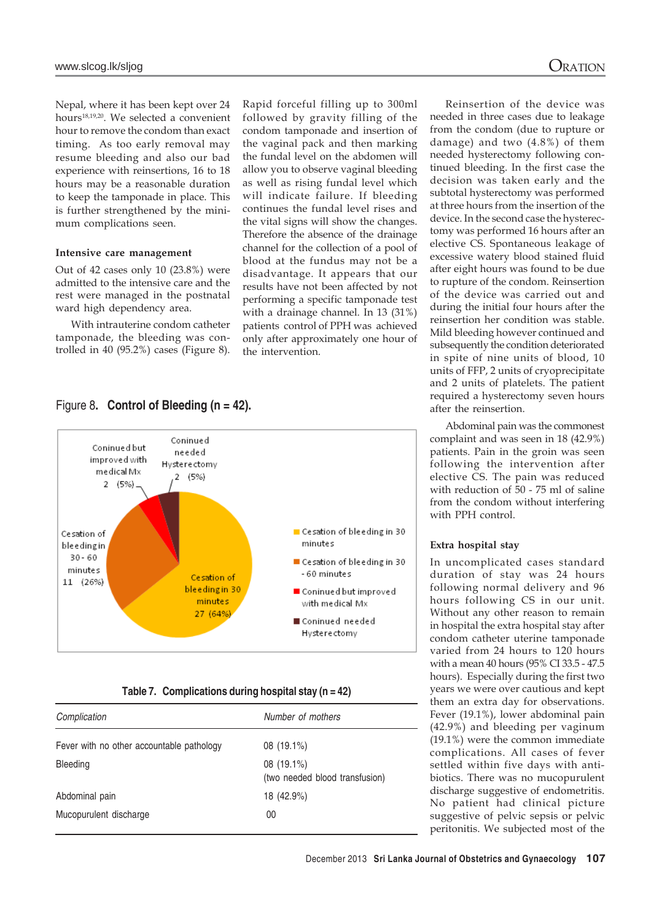Nepal, where it has been kept over 24 hours18,19,20. We selected a convenient hour to remove the condom than exact timing. As too early removal may resume bleeding and also our bad experience with reinsertions, 16 to 18 hours may be a reasonable duration to keep the tamponade in place. This is further strengthened by the minimum complications seen.

#### **Intensive care management**

Out of 42 cases only 10 (23.8%) were admitted to the intensive care and the rest were managed in the postnatal ward high dependency area.

With intrauterine condom catheter tamponade, the bleeding was controlled in 40 (95.2%) cases (Figure 8).

Rapid forceful filling up to 300ml followed by gravity filling of the condom tamponade and insertion of the vaginal pack and then marking the fundal level on the abdomen will allow you to observe vaginal bleeding as well as rising fundal level which will indicate failure. If bleeding continues the fundal level rises and the vital signs will show the changes. Therefore the absence of the drainage channel for the collection of a pool of blood at the fundus may not be a disadvantage. It appears that our results have not been affected by not performing a specific tamponade test with a drainage channel. In 13 (31%) patients control of PPH was achieved only after approximately one hour of the intervention.

### Figure 8**. Control of Bleeding (n = 42).**



#### **Table 7. Complications during hospital stay (n = 42)**

| Complication                              | Number of mothers                            |  |  |
|-------------------------------------------|----------------------------------------------|--|--|
| Fever with no other accountable pathology | 08 (19.1%)                                   |  |  |
| <b>Bleeding</b>                           | 08 (19.1%)<br>(two needed blood transfusion) |  |  |
| Abdominal pain                            | 18 (42.9%)                                   |  |  |
| Mucopurulent discharge                    | 00                                           |  |  |

Reinsertion of the device was needed in three cases due to leakage from the condom (due to rupture or damage) and two (4.8%) of them needed hysterectomy following continued bleeding. In the first case the decision was taken early and the subtotal hysterectomy was performed at three hours from the insertion of the device. In the second case the hysterectomy was performed 16 hours after an elective CS. Spontaneous leakage of excessive watery blood stained fluid after eight hours was found to be due to rupture of the condom. Reinsertion of the device was carried out and during the initial four hours after the reinsertion her condition was stable. Mild bleeding however continued and subsequently the condition deteriorated in spite of nine units of blood, 10 units of FFP, 2 units of cryoprecipitate and 2 units of platelets. The patient required a hysterectomy seven hours after the reinsertion.

Abdominal pain was the commonest complaint and was seen in 18 (42.9%) patients. Pain in the groin was seen following the intervention after elective CS. The pain was reduced with reduction of 50 - 75 ml of saline from the condom without interfering with PPH control.

#### **Extra hospital stay**

In uncomplicated cases standard duration of stay was 24 hours following normal delivery and 96 hours following CS in our unit. Without any other reason to remain in hospital the extra hospital stay after condom catheter uterine tamponade varied from 24 hours to 120 hours with a mean 40 hours (95% CI 33.5 - 47.5 hours). Especially during the first two years we were over cautious and kept them an extra day for observations. Fever (19.1%), lower abdominal pain (42.9%) and bleeding per vaginum (19.1%) were the common immediate complications. All cases of fever settled within five days with antibiotics. There was no mucopurulent discharge suggestive of endometritis. No patient had clinical picture suggestive of pelvic sepsis or pelvic peritonitis. We subjected most of the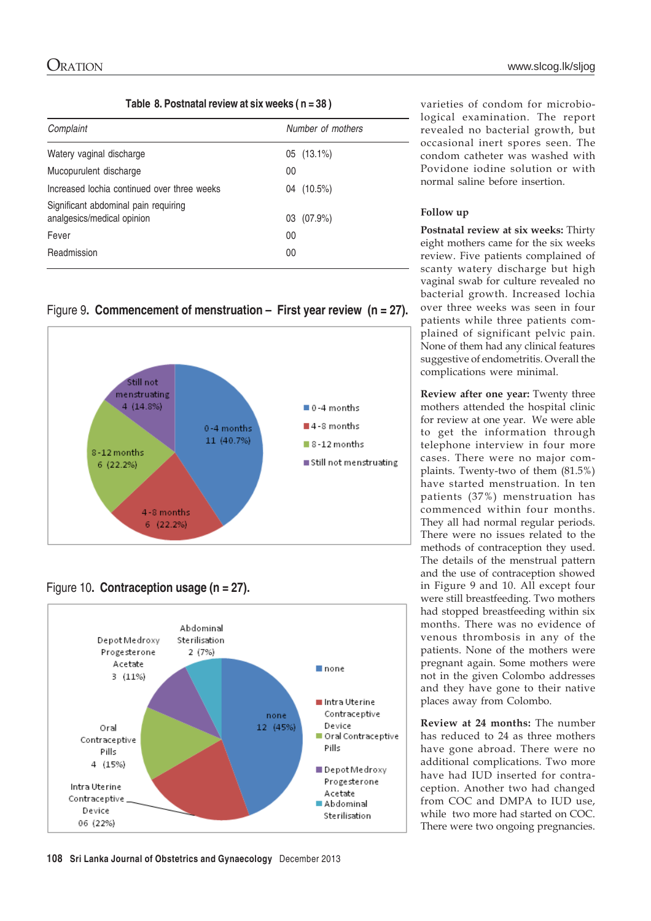|  |  | Table 8. Postnatal review at six weeks (n = 38) |  |
|--|--|-------------------------------------------------|--|
|--|--|-------------------------------------------------|--|

| Complaint                                                          | Number of mothers |
|--------------------------------------------------------------------|-------------------|
| Watery vaginal discharge                                           | $05(13.1\%)$      |
| Mucopurulent discharge                                             | 00                |
| Increased lochia continued over three weeks                        | 04 (10.5%)        |
| Significant abdominal pain requiring<br>analgesics/medical opinion | 03 (07.9%)        |
| Fever                                                              | 00                |
| Readmission                                                        | 00                |

Figure 9**. Commencement of menstruation – First year review (n = 27).**



## Figure 10**. Contraception usage (n = 27).**



varieties of condom for microbiological examination. The report revealed no bacterial growth, but occasional inert spores seen. The condom catheter was washed with Povidone iodine solution or with normal saline before insertion.

### **Follow up**

**Postnatal review at six weeks:** Thirty eight mothers came for the six weeks review. Five patients complained of scanty watery discharge but high vaginal swab for culture revealed no bacterial growth. Increased lochia over three weeks was seen in four patients while three patients complained of significant pelvic pain. None of them had any clinical features suggestive of endometritis. Overall the complications were minimal.

**Review after one year:** Twenty three mothers attended the hospital clinic for review at one year. We were able to get the information through telephone interview in four more cases. There were no major complaints. Twenty-two of them (81.5%) have started menstruation. In ten patients (37%) menstruation has commenced within four months. They all had normal regular periods. There were no issues related to the methods of contraception they used. The details of the menstrual pattern and the use of contraception showed in Figure 9 and 10. All except four were still breastfeeding. Two mothers had stopped breastfeeding within six months. There was no evidence of venous thrombosis in any of the patients. None of the mothers were pregnant again. Some mothers were not in the given Colombo addresses and they have gone to their native places away from Colombo.

**Review at 24 months:** The number has reduced to 24 as three mothers have gone abroad. There were no additional complications. Two more have had IUD inserted for contraception. Another two had changed from COC and DMPA to IUD use, while two more had started on COC. There were two ongoing pregnancies.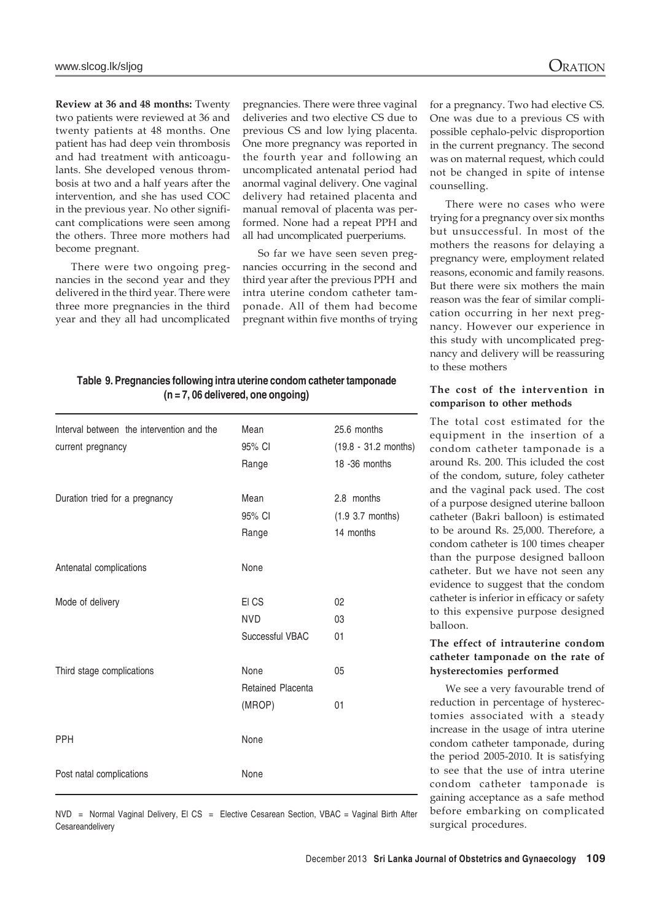**Review at 36 and 48 months:** Twenty two patients were reviewed at 36 and twenty patients at 48 months. One patient has had deep vein thrombosis and had treatment with anticoagulants. She developed venous thrombosis at two and a half years after the intervention, and she has used COC in the previous year. No other significant complications were seen among the others. Three more mothers had become pregnant.

There were two ongoing pregnancies in the second year and they delivered in the third year. There were three more pregnancies in the third year and they all had uncomplicated

pregnancies. There were three vaginal deliveries and two elective CS due to previous CS and low lying placenta. One more pregnancy was reported in the fourth year and following an uncomplicated antenatal period had anormal vaginal delivery. One vaginal delivery had retained placenta and manual removal of placenta was performed. None had a repeat PPH and all had uncomplicated puerperiums.

So far we have seen seven pregnancies occurring in the second and third year after the previous PPH and intra uterine condom catheter tamponade. All of them had become pregnant within five months of trying

### **Table 9. Pregnancies following intra uterine condom catheter tamponade (n = 7, 06 delivered, one ongoing)**

| Interval between the intervention and the<br>current pregnancy | Mean<br>95% CI<br>Range                    | 25.6 months<br>$(19.8 - 31.2$ months)<br>18 - 36 months |
|----------------------------------------------------------------|--------------------------------------------|---------------------------------------------------------|
| Duration tried for a pregnancy                                 | Mean<br>95% CI<br>Range                    | 2.8 months<br>$(1.9 3.7$ months)<br>14 months           |
| Antenatal complications                                        | None                                       |                                                         |
| Mode of delivery                                               | EI CS<br><b>NVD</b><br>Successful VBAC     | 02<br>03<br>01                                          |
| Third stage complications                                      | None<br><b>Retained Placenta</b><br>(MROP) | 05<br>01                                                |
| <b>PPH</b>                                                     | None                                       |                                                         |
| Post natal complications                                       | None                                       |                                                         |

for a pregnancy. Two had elective CS. One was due to a previous CS with possible cephalo-pelvic disproportion in the current pregnancy. The second was on maternal request, which could not be changed in spite of intense counselling.

There were no cases who were trying for a pregnancy over six months but unsuccessful. In most of the mothers the reasons for delaying a pregnancy were, employment related reasons, economic and family reasons. But there were six mothers the main reason was the fear of similar complication occurring in her next pregnancy. However our experience in this study with uncomplicated pregnancy and delivery will be reassuring to these mothers

### **The cost of the intervention in comparison to other methods**

The total cost estimated for the equipment in the insertion of a condom catheter tamponade is a around Rs. 200. This icluded the cost of the condom, suture, foley catheter and the vaginal pack used. The cost of a purpose designed uterine balloon catheter (Bakri balloon) is estimated to be around Rs. 25,000. Therefore, a condom catheter is 100 times cheaper than the purpose designed balloon catheter. But we have not seen any evidence to suggest that the condom catheter is inferior in efficacy or safety to this expensive purpose designed balloon.

### **The effect of intrauterine condom catheter tamponade on the rate of hysterectomies performed**

We see a very favourable trend of reduction in percentage of hysterectomies associated with a steady increase in the usage of intra uterine condom catheter tamponade, during the period 2005-2010. It is satisfying to see that the use of intra uterine condom catheter tamponade is gaining acceptance as a safe method before embarking on complicated surgical procedures.

NVD = Normal Vaginal Delivery, El CS = Elective Cesarean Section, VBAC = Vaginal Birth After **Cesareandelivery**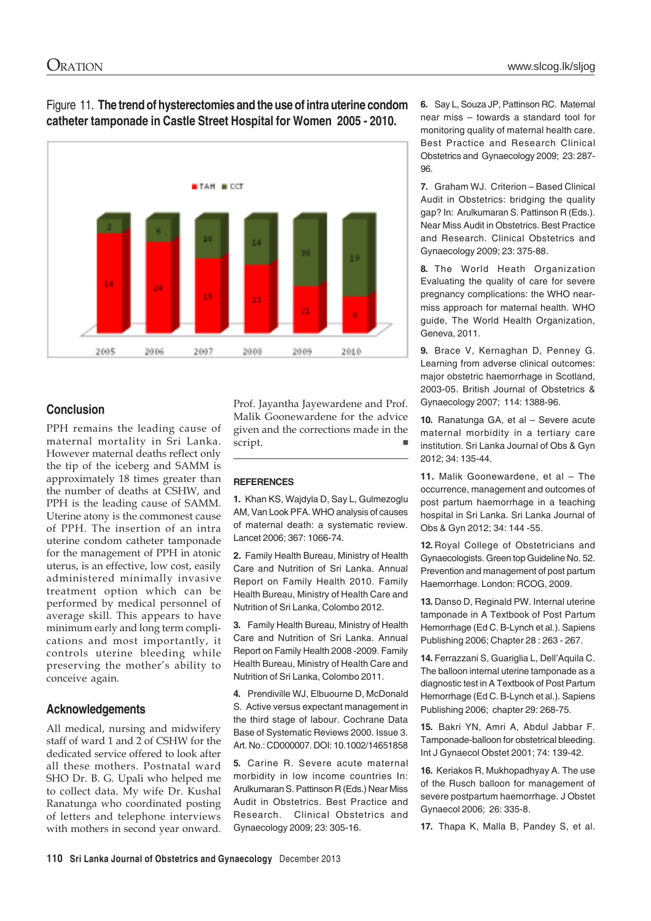

### Figure 11. **The trend of hysterectomies and the use of intra uterine condom catheter tamponade in Castle Street Hospital for Women 2005 - 2010.**

### **Conclusion**

PPH remains the leading cause of maternal mortality in Sri Lanka. However maternal deaths reflect only the tip of the iceberg and SAMM is approximately 18 times greater than the number of deaths at CSHW, and PPH is the leading cause of SAMM. Uterine atony is the commonest cause of PPH. The insertion of an intra uterine condom catheter tamponade for the management of PPH in atonic uterus, is an effective, low cost, easily administered minimally invasive treatment option which can be performed by medical personnel of average skill. This appears to have minimum early and long term complications and most importantly, it controls uterine bleeding while preserving the mother's ability to conceive again.

### **Acknowledgements**

All medical, nursing and midwifery staff of ward 1 and 2 of CSHW for the dedicated service offered to look after all these mothers. Postnatal ward SHO Dr. B. G. Upali who helped me to collect data. My wife Dr. Kushal Ranatunga who coordinated posting of letters and telephone interviews with mothers in second year onward.

Prof. Jayantha Jayewardene and Prof. Malik Goonewardene for the advice given and the corrections made in the script. script.

### **REFERENCES**

**1.** Khan KS, Wajdyla D, Say L, Gulmezoglu AM, Van Look PFA. WHO analysis of causes of maternal death: a systematic review. Lancet 2006; 367: 1066-74.

**2.** Family Health Bureau, Ministry of Health Care and Nutrition of Sri Lanka. Annual Report on Family Health 2010. Family Health Bureau, Ministry of Health Care and Nutrition of Sri Lanka, Colombo 2012.

**3.** Family Health Bureau, Ministry of Health Care and Nutrition of Sri Lanka. Annual Report on Family Health 2008 -2009. Family Health Bureau, Ministry of Health Care and Nutrition of Sri Lanka, Colombo 2011.

**4.** Prendiville WJ, Elbuourne D, McDonald S. Active versus expectant management in the third stage of labour. Cochrane Data Base of Systematic Reviews 2000. Issue 3. Art. No.: CD000007. DOI: 10.1002/14651858

**5.** Carine R. Severe acute maternal morbidity in low income countries In: Arulkumaran S. Pattinson R (Eds.) Near Miss Audit in Obstetrics. Best Practice and Research. Clinical Obstetrics and Gynaecology 2009; 23: 305-16.

**6.** Say L, Souza JP, Pattinson RC. Maternal near miss – towards a standard tool for monitoring quality of maternal health care. Best Practice and Research Clinical Obstetrics and Gynaecology 2009; 23: 287- 96.

**7.** Graham WJ. Criterion – Based Clinical Audit in Obstetrics: bridging the quality gap? In: Arulkumaran S. Pattinson R (Eds.). Near Miss Audit in Obstetrics. Best Practice and Research. Clinical Obstetrics and Gynaecology 2009; 23: 375-88.

**8.** The World Heath Organization Evaluating the quality of care for severe pregnancy complications: the WHO nearmiss approach for maternal health. WHO guide, The World Health Organization, Geneva, 2011.

**9.** Brace V, Kernaghan D, Penney G. Learning from adverse clinical outcomes: major obstetric haemorrhage in Scotland, 2003-05. British Journal of Obstetrics & Gynaecology 2007; 114: 1388-96.

**10.** Ranatunga GA, et al – Severe acute maternal morbidity in a tertiary care institution. Sri Lanka Journal of Obs & Gyn 2012; 34: 135-44.

**11.** Malik Goonewardene, et al – The occurrence, management and outcomes of post partum haemorrhage in a teaching hospital in Sri Lanka. Sri Lanka Journal of Obs & Gyn 2012; 34: 144 -55.

**12.** Royal College of Obstetricians and Gynaecologists. Green top Guideline No. 52. Prevention and management of post partum Haemorrhage. London: RCOG, 2009.

**13.** Danso D, Reginald PW. Internal uterine tamponade in A Textbook of Post Partum Hemorrhage (Ed C. B-Lynch et al.). Sapiens Publishing 2006; Chapter 28 : 263 - 267.

**14.** Ferrazzani S, Guariglia L, Dell'Aquila C. The balloon internal uterine tamponade as a diagnostic test in A Textbook of Post Partum Hemorrhage (Ed C. B-Lynch et al.). Sapiens Publishing 2006; chapter 29: 268-75.

**15.** Bakri YN, Amri A, Abdul Jabbar F. Tamponade-balloon for obstetrical bleeding. Int J Gynaecol Obstet 2001; 74: 139-42.

**16.** Keriakos R, Mukhopadhyay A. The use of the Rusch balloon for management of severe postpartum haemorrhage. J Obstet Gynaecol 2006; 26: 335-8.

**17.** Thapa K, Malla B, Pandey S, et al.